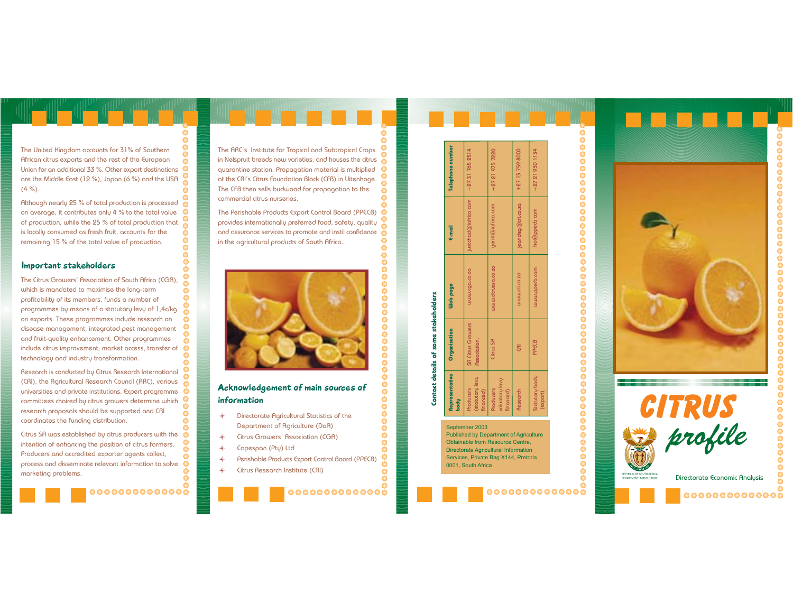The United Kingdom accounts for 31% of Southern African citrus exports and the rest of the European Union for an additional 33 %. Other export destinations are the Middle East (12 %), Japan (6 %) and the USA  $(4\%).$ 

Although nearly 25 % of total production is processed on average, it contributes only 4 % to the total value of production, while the 25 % of total production that is locally consumed as fresh fruit, accounts for the remaining 15 % of the total value of production.

## Important stakeholders

The Citrus Growers' Association of South Africa (CGA). which is mondated to maximise the long-term profitability of its members, funds a number of programmes by means of a statutory levy of 1,4c/kg on exports. These programmes include research on disease management, integrated pest management and fruit-quality enhancement. Other programmes include citrus improvement, market access, transfer of technology and industry transformation.

Research is conducted by Citrus Research International (CRI), the Agricultural Research Council (ARC), various universities and private institutions. Expert programme ႙ committees choired by citrus growers determine which research proposals should be supported and CRI  $\bullet$ coordinates the funding distribution.

Citrus SA was established by citrus producers with the  $\bullet$ intention of enhancing the position of citrus farmers. Producers and accredited exporter agents collect, process and disseminate relevant information to solve  $\bullet$ ۰ marketing problems.



The ARC's Institute for Tropical and Subtropical Crops in Nelspruit breeds new varieties, and houses the citrus quarantine station. Propagation material is multiplied at the CRI's Citrus Foundation Block (CFB) in Uitenhage. The CFB then sells budwood for propagation to the commercial citrus nurseries

The Perishable Products Export Control Board (PPECB) provides internationally preferred food, safety, quality and assurance services to promote and instil confidence in the agricultural products of South Africa.



# Acknowledgement of main sources of information

- Directorate Agricultural Statistics of the  $\ddotmark$ Department of Agriculture (DoA)
	- Citrus Growers' Association (CGA)
	- Capespan (Pty) Ltd

 $\ddot{\phantom{1}}$ 

 $\overline{a}$ 

- Perishable Products Export Control Board (PPECB)
- $\ddot{\phantom{1}}$ Citrus Research Institute (CRI)

٥

 $\bullet$ 

 $\bullet$ 

 $\bullet$ 

 $\overline{\mathbf{S}}$ 

 $\ddot{\mathbf{O}}$ 

 $\bullet$ 

|                                       | Contact details of some stakeholders      |                    |                      |                   |
|---------------------------------------|-------------------------------------------|--------------------|----------------------|-------------------|
| epresentative<br>o∮                   | Organisation                              | Web page           | E-mail               | Telephone number  |
| statutory levy<br>roducers<br>nanced) | <b>SA Citrus Growers'</b><br>Association. | mmm.cdg.co.so      | justchad@iafrica.com | +27 31 765 2514   |
| pluntary levy<br>roducers<br>nanced)  | Citrus SA                                 | www.citrussa.co.za | gerrit@iafrica.com   | +27 21 975 7220   |
| lesearch                              | g                                         | www.cri.co.zo      | jeandeg@cri.co.za    | $+27$ 13 759 8000 |
| tatutory body<br>export)              | PPECB                                     | www.ppedb.com      | ho@ppecb.com         | +27 21 930 1134   |
|                                       |                                           |                    |                      |                   |

#### September 2003

**Published by Department of Agriculture** Obtainable from Resource Centre. **Directorate Agricultural Information** Services, Private Bag X144, Pretoria 0001, South Africa